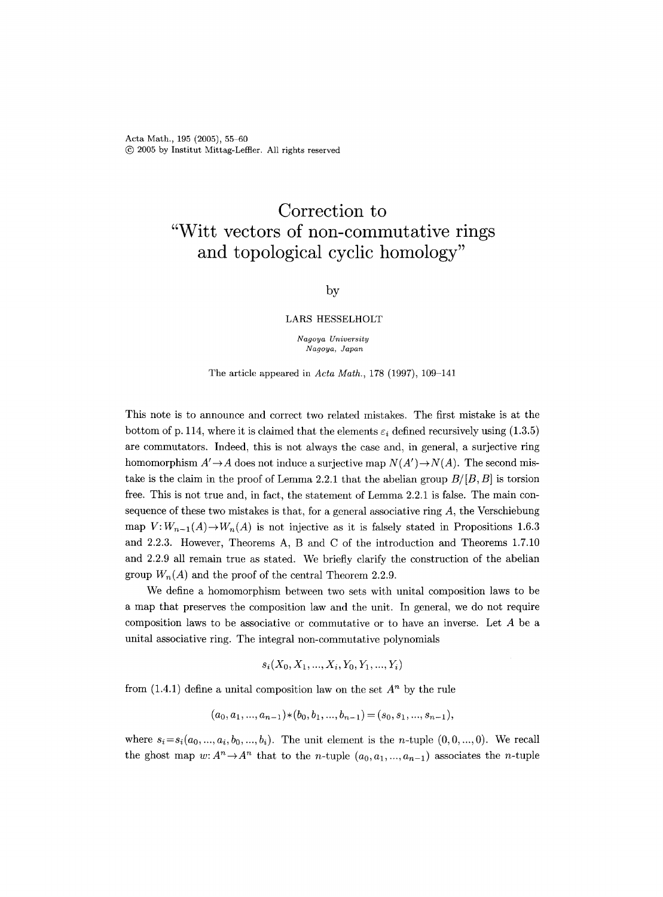## **Correction to "Witt vectors of non-commutative rings and topological cyclic homology"**

## by

## LARS HESSELHOLT

*Nagoya University Nagoya, Japan* 

The article appeared in *Acta Math.,* 178 (1997), 109-141

This note is to announce and correct two related mistakes. The first mistake is at the bottom of p. 114, where it is claimed that the elements  $\varepsilon_i$  defined recursively using (1.3.5) are commutators. Indeed, this is not always the case and, in general, a surjective ring homomorphism  $A' \rightarrow A$  does not induce a surjective map  $N(A') \rightarrow N(A)$ . The second mistake is the claim in the proof of Lemma 2.2.1 that the abelian group *B/[B, B]* is torsion free. This is not true and, in fact, the statement of Lemma 2.2.1 is false. The main consequence of these two mistakes is that, for a general associative ring  $A$ , the Verschiebung map  $V: W_{n-1}(A) \to W_n(A)$  is not injective as it is falsely stated in Propositions 1.6.3 and 2.2.3. However, Theorems A, B and C of the introduction and Theorems 1.7.10 and 2.2.9 all remain true as stated. We briefly clarify the construction of the abefian group  $W_n(A)$  and the proof of the central Theorem 2.2.9.

We define a homomorphism between two sets with unital composition laws to be a map that preserves the composition law and the unit. In general, we do not require composition laws to be associative or commutative or to have an inverse. Let A be a unital associative ring. The integral non-commutative polynomials

$$
s_i(X_0, X_1, ..., X_i, Y_0, Y_1, ..., Y_i)
$$

from  $(1.4.1)$  define a unital composition law on the set  $A<sup>n</sup>$  by the rule

$$
(a_0, a_1, ..., a_{n-1}) * (b_0, b_1, ..., b_{n-1}) = (s_0, s_1, ..., s_{n-1}),
$$

where  $s_i = s_i(a_0, ..., a_i, b_0, ..., b_i)$ . The unit element is the *n*-tuple  $(0, 0, ..., 0)$ . We recall the ghost map  $w: A^n \to A^n$  that to the *n*-tuple  $(a_0, a_1, ..., a_{n-1})$  associates the *n*-tuple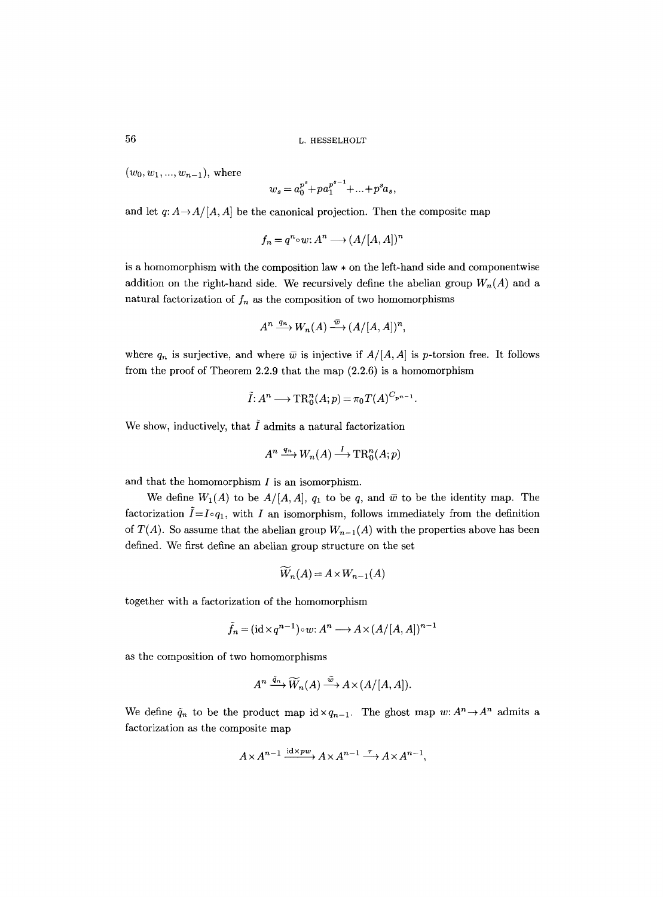56 L. HESSELHOLT

 $(w_0, w_1, ..., w_{n-1})$ , where

$$
w_s = a_0^{p^s} + p a_1^{p^{s-1}} + \dots + p^s a_s,
$$

and let  $q: A \rightarrow A/[A, A]$  be the canonical projection. Then the composite map

$$
f_n = q^n \circ w : A^n \longrightarrow (A/[A, A])^n
$$

is a homomorphism with the composition law  $*$  on the left-hand side and componentwise addition on the right-hand side. We recursively define the abelian group  $W_n(A)$  and a natural factorization of  $f_n$  as the composition of two homomorphisms

$$
A^n \xrightarrow{q_n} W_n(A) \xrightarrow{\bar{w}} (A/[A, A])^n,
$$

where  $q_n$  is surjective, and where  $\bar{w}$  is injective if  $A/[A, A]$  is p-torsion free. It follows from the proof of Theorem 2.2.9 that the map (2.2.6) is a homomorphism

$$
\tilde{I}: A^n \longrightarrow \text{TR}^n_0(A;p) = \pi_0 T(A)^{C_{p^{n-1}}}.
$$

We show, inductively, that  $\tilde{I}$  admits a natural factorization

$$
A^n \xrightarrow{q_n} W_n(A) \xrightarrow{I} \operatorname{TR}^n_0(A;p)
$$

and that the homomorphism  $I$  is an isomorphism.

We define  $W_1(A)$  to be  $A/[A, A]$ ,  $q_1$  to be q, and  $\bar{w}$  to be the identity map. The factorization  $\tilde{I} = I \circ q_1$ , with I an isomorphism, follows immediately from the definition of  $T(A)$ . So assume that the abelian group  $W_{n-1}(A)$  with the properties above has been defined. We first define an abelian group structure on the set

$$
W_n(A) = A \times W_{n-1}(A)
$$

together with a factorization of the homomorphism

$$
\tilde{f}_n = (\mathrm{id} \times q^{n-1}) \circ w : A^n \longrightarrow A \times (A/[A, A])^{n-1}
$$

as the composition of two homomorphisms

$$
A^n \xrightarrow{\tilde{q}_n} \widetilde{W}_n(A) \xrightarrow{\tilde{w}} A \times (A/[A, A]).
$$

We define  $\tilde{q}_n$  to be the product map id $\times q_{n-1}$ . The ghost map  $w: A^n \to A^n$  admits a factorization as the composite map

$$
A \times A^{n-1} \xrightarrow{\mathrm{id} \times pw} A \times A^{n-1} \xrightarrow{\tau} A \times A^{n-1},
$$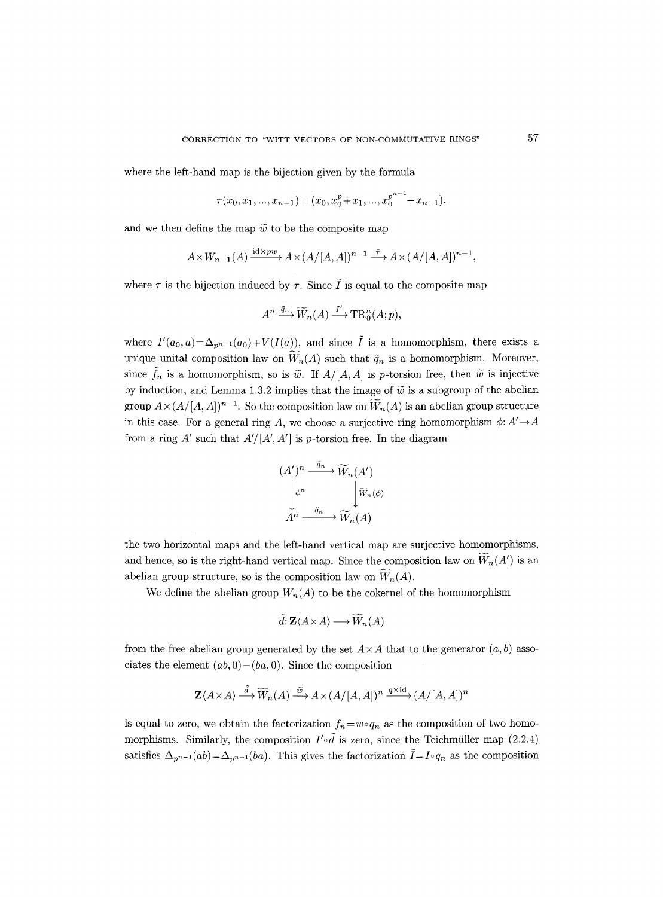where the left-hand map is the bijection given by the formula

$$
\tau(x_0, x_1, ..., x_{n-1}) = (x_0, x_0^p + x_1, ..., x_0^{p^{n-1}} + x_{n-1}),
$$

and we then define the map  $\tilde{w}$  to be the composite map

$$
A \times W_{n-1}(A) \xrightarrow{\mathrm{id} \times p\overline{w}} A \times (A/[A,A])^{n-1} \xrightarrow{\bar{\tau}} A \times (A/[A,A])^{n-1},
$$

where  $\bar{\tau}$  is the bijection induced by  $\tau$ . Since  $\tilde{I}$  is equal to the composite map

$$
A^n \xrightarrow{\tilde{q}_n} \widetilde{W}_n(A) \xrightarrow{I'} \operatorname{TR}_0^n(A;p),
$$

where  $I'(a_0, a) = \Delta_{p^{n-1}}(a_0) + V(I(a))$ , and since  $\tilde{I}$  is a homomorphism, there exists a unique unital composition law on  $\widetilde{W}_n(A)$  such that  $\widetilde{q}_n$  is a homomorphism. Moreover, since  $\tilde{f}_n$  is a homomorphism, so is  $\tilde{w}$ . If  $A/[A, A]$  is p-torsion free, then  $\tilde{w}$  is injective by induction, and Lemma 1.3.2 implies that the image of  $\tilde{w}$  is a subgroup of the abelian group  $A \times (A/[A, A])^{n-1}$ . So the composition law on  $\overline{W}_n(A)$  is an abelian group structure in this case. For a general ring A, we choose a surjective ring homomorphism  $\phi: A' \to A$ from a ring  $A'$  such that  $A'/[A', A']$  is p-torsion free. In the diagram

$$
(A')^n \xrightarrow{\tilde{q}_n} \widetilde{W}_n(A')
$$

$$
\downarrow \phi^n \qquad \qquad \downarrow \widetilde{W}_n(\phi)
$$

$$
A^n \xrightarrow{\tilde{q}_n} \widetilde{W}_n(A)
$$

the two horizontal maps and the left-hand vertical map are surjective homomorphisms, and hence, so is the right-hand vertical map. Since the composition law on  $\widetilde{W}_n(A')$  is an abelian group structure, so is the composition law on  $\widetilde{W}_n(A)$ .

We define the abelian group  $W_n(A)$  to be the cokernel of the homomorphism

$$
\tilde{d}: \mathbf{Z} \langle A \times A \rangle \longrightarrow \widetilde{W}_n(A)
$$

from the free abelian group generated by the set  $A \times A$  that to the generator  $(a, b)$  associates the element  $(ab, 0) - (ba, 0)$ . Since the composition

$$
\mathbf{Z}\langle A \times A \rangle \stackrel{\tilde{d}}{\longrightarrow} \widetilde{W}_n(A) \stackrel{\tilde{w}}{\longrightarrow} A \times (A/[A, A])^n \stackrel{q \times \mathrm{id}}{\longrightarrow} (A/[A, A])^n
$$

is equal to zero, we obtain the factorization  $f_n = \overline{w} \circ q_n$  as the composition of two homomorphisms. Similarly, the composition  $I' \circ \tilde{d}$  is zero, since the Teichmüller map (2.2.4) satisfies  $\Delta_{p^{n-1}}(ab) = \Delta_{p^{n-1}}(ba)$ . This gives the factorization  $\tilde{I} = I \circ q_n$  as the composition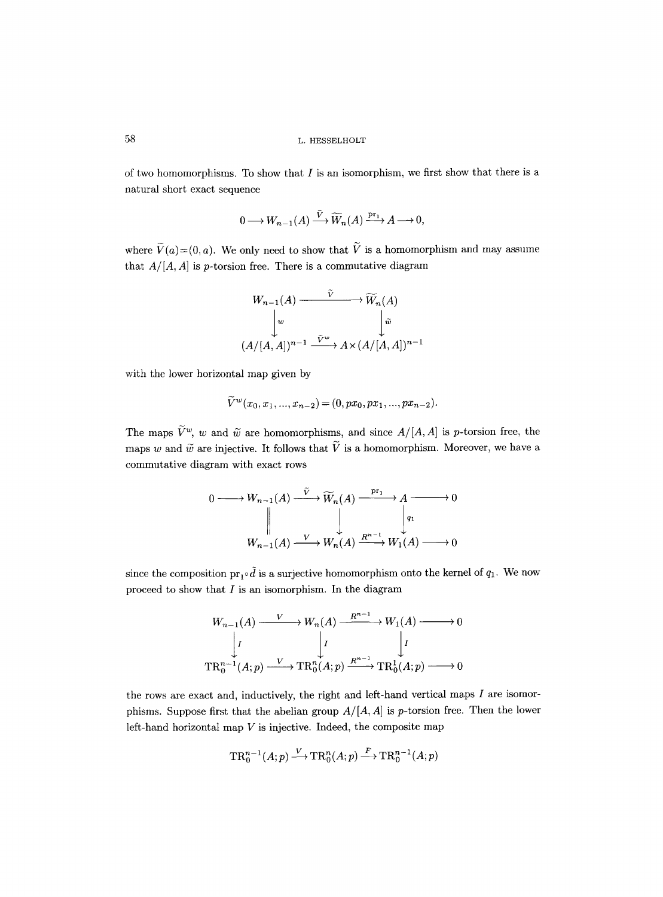of two homomorphisms. To show that  $I$  is an isomorphism, we first show that there is a natural short exact sequence

$$
0 \longrightarrow W_{n-1}(A) \xrightarrow{\tilde{V}} \widetilde{W}_n(A) \xrightarrow{\mathrm{pr}_1} A \longrightarrow 0,
$$

where  $\widetilde{V}(a)=(0, a)$ . We only need to show that  $\widetilde{V}$  is a homomorphism and may assume that  $A/[A, A]$  is p-torsion free. There is a commutative diagram

$$
W_{n-1}(A) \xrightarrow{\tilde{V}} \widetilde{W}_n(A)
$$
  
\n
$$
\downarrow^w \qquad \qquad \downarrow^{\tilde{w}} \\
(A/[A, A])^{n-1} \xrightarrow{\tilde{V}^w} A \times (A/[A, A])^{n-1}
$$

with the lower horizontal map given by

$$
\widetilde{V}^w(x_0, x_1, ..., x_{n-2}) = (0, px_0, px_1, ..., px_{n-2}).
$$

The maps  $\tilde{V}^w$ , w and  $\tilde{w}$  are homomorphisms, and since  $A/[A, A]$  is p-torsion free, the maps w and  $\tilde{w}$  are injective. It follows that  $\tilde{V}$  is a homomorphism. Moreover, we have a commutative diagram with exact rows

$$
0 \longrightarrow W_{n-1}(A) \xrightarrow{V} \widetilde{W}_n(A) \xrightarrow{\operatorname{pr}_1} A \longrightarrow 0
$$
  
\n
$$
\parallel \qquad \qquad \downarrow \qquad \qquad \downarrow
$$
  
\n
$$
W_{n-1}(A) \xrightarrow{V} W_n(A) \xrightarrow{R^{n-1}} W_1(A) \longrightarrow 0
$$

since the composition  $\mathrm{pr}_1 \circ \tilde{d}$  is a surjective homomorphism onto the kernel of  $q_1$ . We now proceed to show that  $I$  is an isomorphism. In the diagram

$$
W_{n-1}(A) \xrightarrow{V} W_n(A) \xrightarrow{R^{n-1}} W_1(A) \longrightarrow 0
$$
  
\n
$$
\downarrow I \qquad \qquad \downarrow I
$$
  
\n
$$
\text{TR}_0^{n-1}(A; p) \xrightarrow{V} \text{TR}_0^n(A; p) \xrightarrow{R^{n-1}} \text{TR}_0^1(A; p) \longrightarrow 0
$$

the rows are exact and, inductively, the right and left-hand vertical maps  $I$  are isomorphisms. Suppose first that the abelian group  $A/[A, A]$  is p-torsion free. Then the lower left-hand horizontal map  $V$  is injective. Indeed, the composite map

$$
TR_0^{n-1}(A;p) \xrightarrow{V} TR_0^n(A;p) \xrightarrow{F} TR_0^{n-1}(A;p)
$$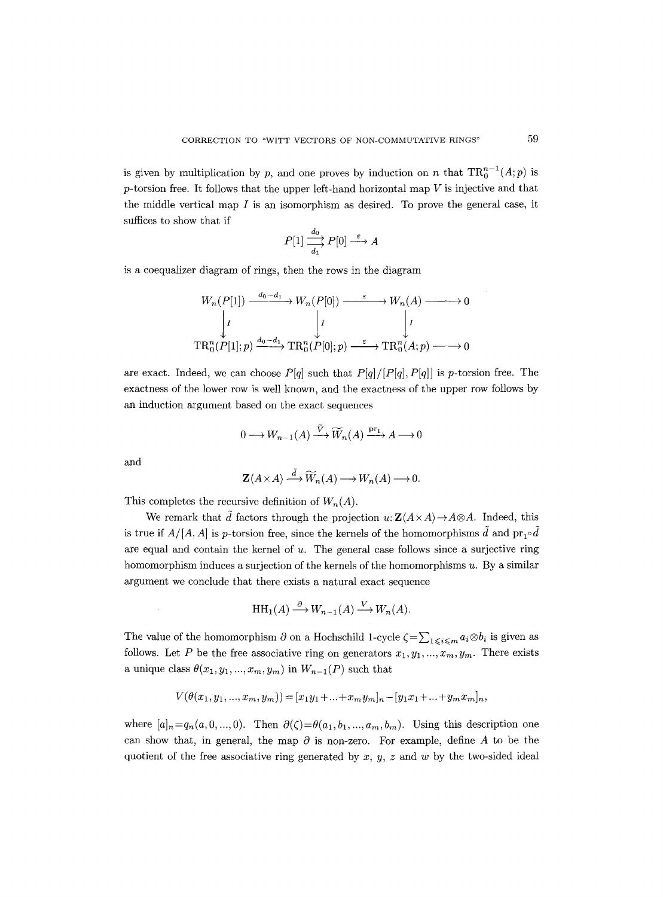is given by multiplication by p, and one proves by induction on n that  $TR_0^{n-1}(A;p)$  is  $p$ -torsion free. It follows that the upper left-hand horizontal map  $V$  is injective and that the middle vertical map  $I$  is an isomorphism as desired. To prove the general case, it suffices to show that if

$$
P[1] \xrightarrow[d_1]{d_0} P[0] \xrightarrow{\varepsilon} A
$$

is a coequalizer diagram of rings, then the rows in the diagram

$$
W_n(P[1]) \xrightarrow{d_0-d_1} W_n(P[0]) \xrightarrow{\varepsilon} W_n(A) \longrightarrow 0
$$
  
\n
$$
\downarrow I \qquad \qquad \downarrow I \qquad \qquad \downarrow I
$$
  
\n
$$
\text{TR}_0^n(P[1]; p) \xrightarrow{d_0-d_1} \text{TR}_0^n(P[0]; p) \xrightarrow{\varepsilon} \text{TR}_0^n(A; p) \longrightarrow 0
$$

are exact. Indeed, we can choose  $P[q]$  such that  $P[q]/[P[q], P[q]]$  is p-torsion free. The exactness of the lower row is well known, and the exactness of the upper row follows by an induction argument based on the exact sequences

$$
0 \longrightarrow W_{n-1}(A) \xrightarrow{\tilde{V}} \widetilde{W}_n(A) \xrightarrow{\mathrm{pr}_1} A \longrightarrow 0
$$

and

$$
\mathbf{Z}\langle A\times A\rangle\stackrel{d}{\longrightarrow}\widetilde{W}_n(A)\longrightarrow W_n(A)\longrightarrow 0.
$$

This completes the recursive definition of  $W_n(A)$ .

We remark that  $\tilde{d}$  factors through the projection  $u: \mathbf{Z}(A \times A) \to A \otimes A$ . Indeed, this is true if  $A/[A, A]$  is p-torsion free, since the kernels of the homomorphisms  $\tilde{d}$  and  $\text{pr}_1 \circ \tilde{d}$ are equal and contain the kernel of u. The general case follows since a surjective ring homomorphism induces a surjection of the kernels of the homomorphisms  $u$ . By a similar argument we conclude that there exists a natural exact sequence

$$
HH_1(A) \xrightarrow{\partial} W_{n-1}(A) \xrightarrow{V} W_n(A).
$$

The value of the homomorphism  $\partial$  on a Hochschild 1-cycle  $\zeta = \sum_{1 \leq i \leq m} a_i \otimes b_i$  is given as follows. Let P be the free associative ring on generators  $x_1, y_1,..., x_m, y_m$ . There exists a unique class  $\theta(x_1, y_1, ..., x_m, y_m)$  in  $W_{n-1}(P)$  such that

$$
V(\theta(x_1, y_1, ..., x_m, y_m)) = [x_1y_1 + ... + x_my_m]_n - [y_1x_1 + ... + y_mx_m]_n,
$$

where  $[a]_n=q_n(a, 0, ..., 0)$ . Then  $\partial(\zeta)=\theta(a_1, b_1, ..., a_m, b_m)$ . Using this description one can show that, in general, the map  $\partial$  is non-zero. For example, define A to be the quotient of the free associative ring generated by  $x, y, z$  and w by the two-sided ideal